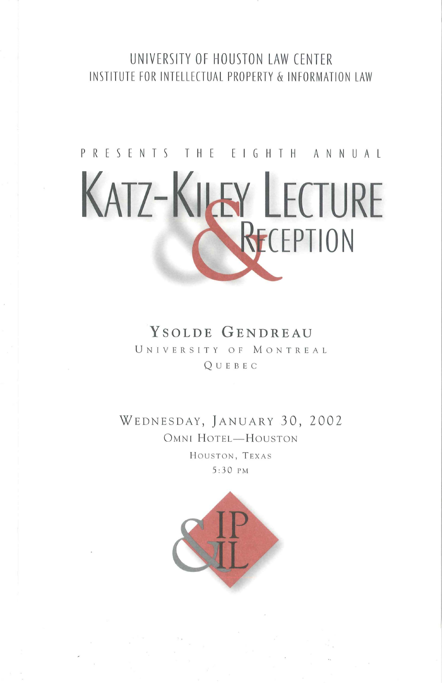#### UNIVERSITY OF HOUSTON LAW CENTER INSTITUTE FOR INTELLECTUAL PROPERTY & INFORMATION LAW

## PRESENTS THE EIGHTH ANNUAL **KATZ-KILEY LECTURE** R<sub>FCFPTION</sub>

#### **YSOLDE GENDREAU**

<sup>U</sup> <sup>N</sup> <sup>I</sup> <sup>V</sup> ER <sup>S</sup> ITY O F M ON TRE <sup>A</sup> <sup>L</sup> Q U EBE C

WEDNESDAY, JANUARY 30, 2002 OMNI HOTEL-HOUSTON HOUSTON, TEXAS 5: 3 0 PM

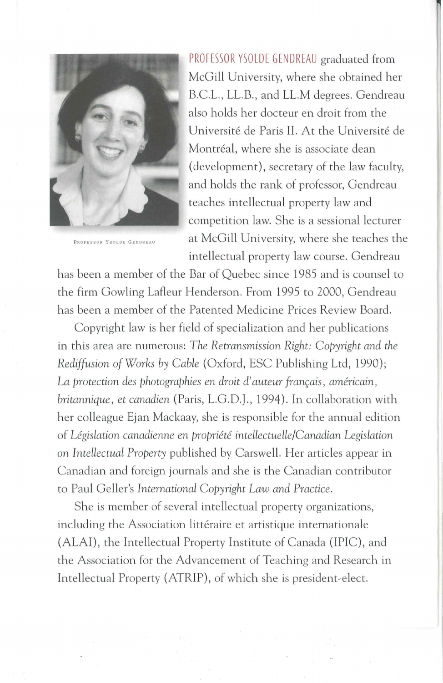

PROFESSOR YSOLDE GENDREAU

PROFESSOR YSOLDE GENDREAU graduated from McGill University, where she obtained her B.C.L., LL.B., and LL.M degrees. Gendreau also holds her docteur en droit from the Universite de Paris II. At the Universite de Montréal, where she is associate dean (development), secretary of the law faculty, and holds the rank of professor, Gendreau teaches intellectual property law and competition law. She is a sessional lecturer at McGill University, where she teaches the intellectual property law course. Gendreau

has been a member of the Bar of Quebec since 1985 and is counsel to the firm Gowling Lafleur Henderson. From 1995 to 2000, Gendreau has been a member of the Patented Medicine Prices Review Board.

Copyright law is her field of specialization and her publications in this area are numerous: *The Retransmission Right: Copyright and the Rediffusion of Works by Cable* (Oxford, ESC Publishing Ltd, 1990); La protection des photographies en droit d'auteur français, américain, *britannique, et canadien* (Paris, L.G.D.J., 1994 ). In collaboration with her colleague Ejan Mackaay, she is responsible for the annual edition of *Legislation canadienne en propriete inteliectuelle/Canadian Legislation*  on *Intellectual Property* published by Carswell. Her articles appear in Canadian and foreign journals and she is the Canadian contributor to Paul Geller's *International Copyright Law and Practice.* 

She is member of several intellectual property organizations, including the Association littéraire et artistique internationale (ALAI), the Intellectual Property Institute of Canada (IPIC), and the Association for the Advancement of Teaching and Research in Intellectual Property (ATRIP), of which she is president~elect.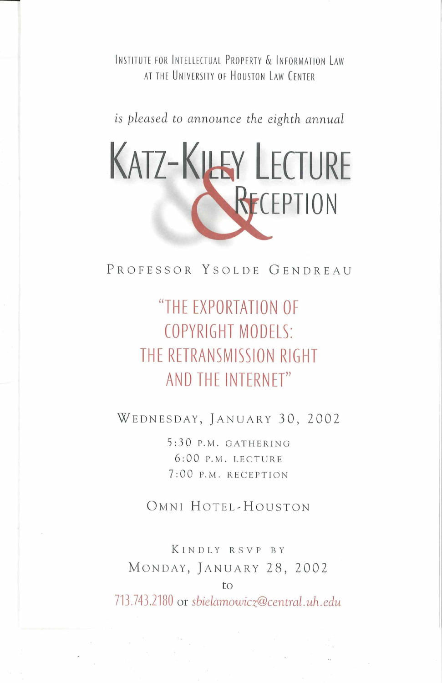INSTITUTE FOR INTELLECTUAL PROPERTY & INFORMATION LAW AT THE UNIVERSITY OF HOUSTON LAW CENTER

*is pleased to announce the eighth annual* 

# **KATZ-KILEY LECTURE KECEPTION**

PROFESSOR YSOLDE GENDREAU

### **"THE EXPORTATION OF COPYRIGHT MODELS: THE RETRANSMISSION RIGHT AND THE INTERNET"**

WEDNESDAY, JANUARY 30, 2002

5:30 P.M. GATHERING 6:00 P.M. LECTURE 7:00 P.M. RECEPT ION

OMNI HOTEL~HOUSTON

KINDLY RSVP BY MONDAY, JANUARY 28, 2002

713.743.2180 or *sbielamowicz@central.uh.edu* 

to